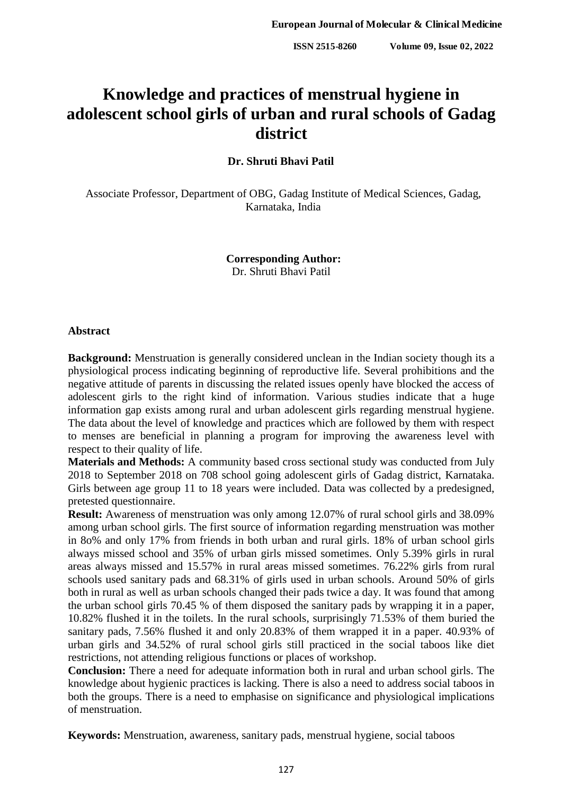# **Knowledge and practices of menstrual hygiene in adolescent school girls of urban and rural schools of Gadag district**

**Dr. Shruti Bhavi Patil**

Associate Professor, Department of OBG, Gadag Institute of Medical Sciences, Gadag, Karnataka, India

> **Corresponding Author:** Dr. Shruti Bhavi Patil

#### **Abstract**

**Background:** Menstruation is generally considered unclean in the Indian society though its a physiological process indicating beginning of reproductive life. Several prohibitions and the negative attitude of parents in discussing the related issues openly have blocked the access of adolescent girls to the right kind of information. Various studies indicate that a huge information gap exists among rural and urban adolescent girls regarding menstrual hygiene. The data about the level of knowledge and practices which are followed by them with respect to menses are beneficial in planning a program for improving the awareness level with respect to their quality of life.

**Materials and Methods:** A community based cross sectional study was conducted from July 2018 to September 2018 on 708 school going adolescent girls of Gadag district, Karnataka. Girls between age group 11 to 18 years were included. Data was collected by a predesigned, pretested questionnaire.

**Result:** Awareness of menstruation was only among 12.07% of rural school girls and 38.09% among urban school girls. The first source of information regarding menstruation was mother in 8o% and only 17% from friends in both urban and rural girls. 18% of urban school girls always missed school and 35% of urban girls missed sometimes. Only 5.39% girls in rural areas always missed and 15.57% in rural areas missed sometimes. 76.22% girls from rural schools used sanitary pads and 68.31% of girls used in urban schools. Around 50% of girls both in rural as well as urban schools changed their pads twice a day. It was found that among the urban school girls 70.45 % of them disposed the sanitary pads by wrapping it in a paper, 10.82% flushed it in the toilets. In the rural schools, surprisingly 71.53% of them buried the sanitary pads, 7.56% flushed it and only 20.83% of them wrapped it in a paper. 40.93% of urban girls and 34.52% of rural school girls still practiced in the social taboos like diet restrictions, not attending religious functions or places of workshop.

**Conclusion:** There a need for adequate information both in rural and urban school girls. The knowledge about hygienic practices is lacking. There is also a need to address social taboos in both the groups. There is a need to emphasise on significance and physiological implications of menstruation.

**Keywords:** Menstruation, awareness, sanitary pads, menstrual hygiene, social taboos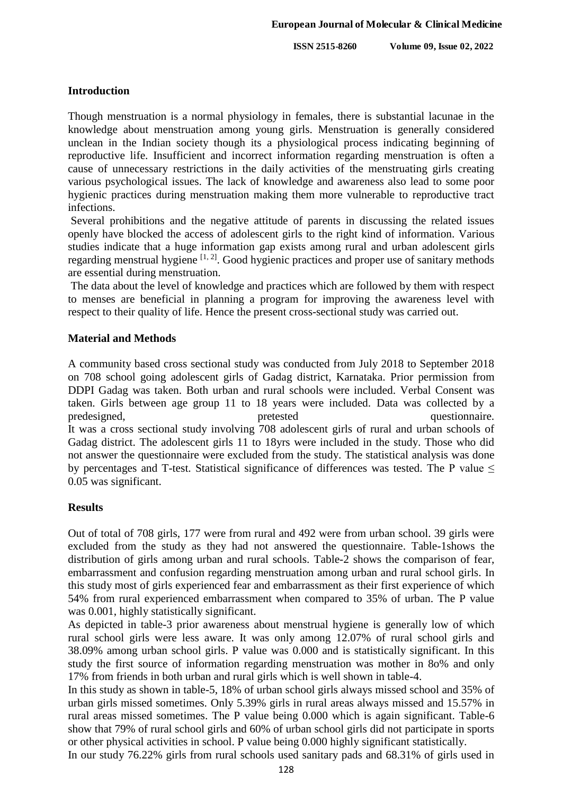**ISSN 2515-8260 Volume 09, Issue 02, 2022**

## **Introduction**

Though menstruation is a normal physiology in females, there is substantial lacunae in the knowledge about menstruation among young girls. Menstruation is generally considered unclean in the Indian society though its a physiological process indicating beginning of reproductive life. Insufficient and incorrect information regarding menstruation is often a cause of unnecessary restrictions in the daily activities of the menstruating girls creating various psychological issues. The lack of knowledge and awareness also lead to some poor hygienic practices during menstruation making them more vulnerable to reproductive tract infections.

Several prohibitions and the negative attitude of parents in discussing the related issues openly have blocked the access of adolescent girls to the right kind of information. Various studies indicate that a huge information gap exists among rural and urban adolescent girls regarding menstrual hygiene  $[1, 2]$ . Good hygienic practices and proper use of sanitary methods are essential during menstruation.

The data about the level of knowledge and practices which are followed by them with respect to menses are beneficial in planning a program for improving the awareness level with respect to their quality of life. Hence the present cross-sectional study was carried out.

## **Material and Methods**

A community based cross sectional study was conducted from July 2018 to September 2018 on 708 school going adolescent girls of Gadag district, Karnataka. Prior permission from DDPI Gadag was taken. Both urban and rural schools were included. Verbal Consent was taken. Girls between age group 11 to 18 years were included. Data was collected by a predesigned, pretested questionnaire. It was a cross sectional study involving 708 adolescent girls of rural and urban schools of Gadag district. The adolescent girls 11 to 18yrs were included in the study. Those who did not answer the questionnaire were excluded from the study. The statistical analysis was done by percentages and T-test. Statistical significance of differences was tested. The P value  $\leq$ 0.05 was significant.

## **Results**

Out of total of 708 girls, 177 were from rural and 492 were from urban school. 39 girls were excluded from the study as they had not answered the questionnaire. Table-1shows the distribution of girls among urban and rural schools. Table-2 shows the comparison of fear, embarrassment and confusion regarding menstruation among urban and rural school girls. In this study most of girls experienced fear and embarrassment as their first experience of which 54% from rural experienced embarrassment when compared to 35% of urban. The P value was 0.001, highly statistically significant.

As depicted in table-3 prior awareness about menstrual hygiene is generally low of which rural school girls were less aware. It was only among 12.07% of rural school girls and 38.09% among urban school girls. P value was 0.000 and is statistically significant. In this study the first source of information regarding menstruation was mother in 8o% and only 17% from friends in both urban and rural girls which is well shown in table-4.

In this study as shown in table-5, 18% of urban school girls always missed school and 35% of urban girls missed sometimes. Only 5.39% girls in rural areas always missed and 15.57% in rural areas missed sometimes. The P value being 0.000 which is again significant. Table-6 show that 79% of rural school girls and 60% of urban school girls did not participate in sports or other physical activities in school. P value being 0.000 highly significant statistically.

In our study 76.22% girls from rural schools used sanitary pads and 68.31% of girls used in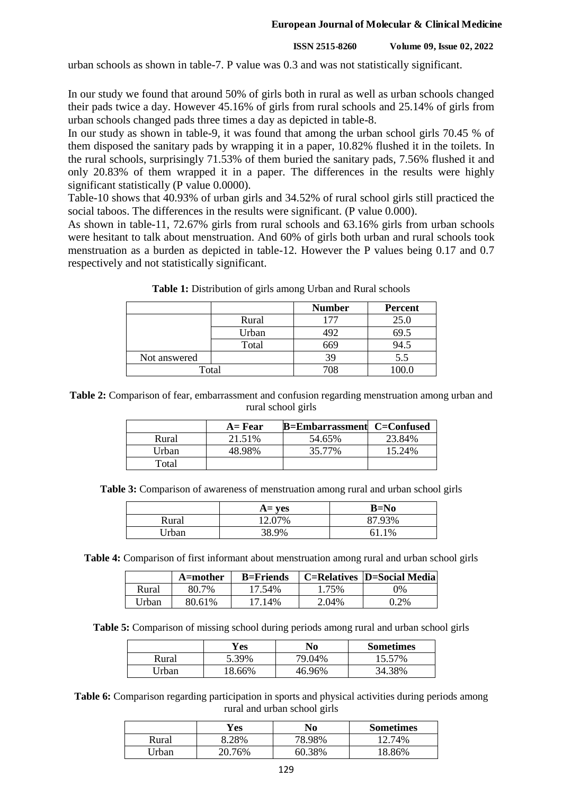#### **European Journal of Molecular & Clinical Medicine**

#### **ISSN 2515-8260 Volume 09, Issue 02, 2022**

urban schools as shown in table-7. P value was 0.3 and was not statistically significant.

In our study we found that around 50% of girls both in rural as well as urban schools changed their pads twice a day. However 45.16% of girls from rural schools and 25.14% of girls from urban schools changed pads three times a day as depicted in table-8.

In our study as shown in table-9, it was found that among the urban school girls 70.45 % of them disposed the sanitary pads by wrapping it in a paper, 10.82% flushed it in the toilets. In the rural schools, surprisingly 71.53% of them buried the sanitary pads, 7.56% flushed it and only 20.83% of them wrapped it in a paper. The differences in the results were highly significant statistically (P value 0.0000).

Table-10 shows that 40.93% of urban girls and 34.52% of rural school girls still practiced the social taboos. The differences in the results were significant. (P value 0.000).

As shown in table-11, 72.67% girls from rural schools and 63.16% girls from urban schools were hesitant to talk about menstruation. And 60% of girls both urban and rural schools took menstruation as a burden as depicted in table-12. However the P values being 0.17 and 0.7 respectively and not statistically significant.

|              |       | <b>Number</b> | <b>Percent</b> |
|--------------|-------|---------------|----------------|
|              | Rural |               | 25.0           |
|              | Urban |               | 69.5           |
|              | Total | 669           | 94.5           |
| Not answered |       | 39            | 5.5            |
| Total        |       | 708           | 00.0           |

Table 1: Distribution of girls among Urban and Rural schools

**Table 2:** Comparison of fear, embarrassment and confusion regarding menstruation among urban and rural school girls

|       | $A = Fear$ | <b>B=Embarrassment</b> C=Confused |        |
|-------|------------|-----------------------------------|--------|
| Rural | 21.51%     | 54.65%                            | 23.84% |
| Urban | 48.98%     | 35.77%                            | 15.24% |
| Total |            |                                   |        |

**Table 3:** Comparison of awareness of menstruation among rural and urban school girls

|              | $A = ves$ | $B=No$ |
|--------------|-----------|--------|
| Rural        | 12.07%    | 87.93% |
| <b>Irban</b> | 38.9%     | 1%     |

**Table 4:** Comparison of first informant about menstruation among rural and urban school girls

|       | A=mother | $B =$ Friends |       | <b>C=Relatives  D=Social Media </b> |
|-------|----------|---------------|-------|-------------------------------------|
| Rural | 80.7%    | 17.54%        | 1.75% | 0%                                  |
| Urban | 80.61%   | 17.14%        | 2.04% | $0.2\%$                             |

**Table 5:** Comparison of missing school during periods among rural and urban school girls

|       | r es   | No     | <b>Sometimes</b> |
|-------|--------|--------|------------------|
| Rural | 5.39%  | 79.04% | 15.57%           |
| Jrban | 18.66% | 46.96% | 34.38%           |

**Table 6:** Comparison regarding participation in sports and physical activities during periods among rural and urban school girls

|       | Yes    | No     | <b>Sometimes</b> |
|-------|--------|--------|------------------|
| Rural | 28%    | 78.98% | 74%              |
| Jrban | 20.76% | 60.38% | 18.86%           |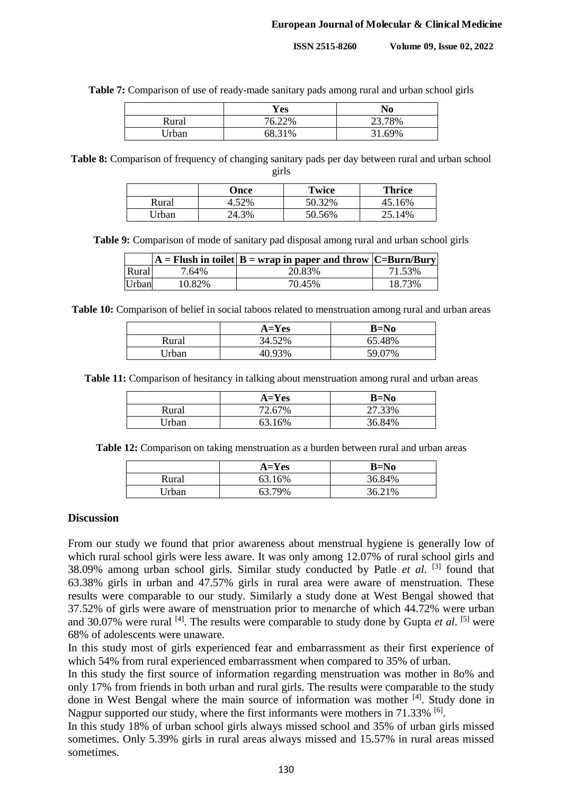**Table 7:** Comparison of use of ready-made sanitary pads among rural and urban school girls

|       | Yes    | No     |
|-------|--------|--------|
| Rural | 76.22% | 23.78% |
| Jrban | 68.31% | 31.69% |

**Table 8:** Comparison of frequency of changing sanitary pads per day between rural and urban school girls

|       | Once  | Twice  | Thrice |
|-------|-------|--------|--------|
| Rural | .52%  | 50.32% | 45.16% |
| Urban | 24.3% | 50.56% | 25.14% |

**Table 9:** Comparison of mode of sanitary pad disposal among rural and urban school girls

|       |        | $ A =$ Flush in toilet $ B =$ wrap in paper and throw $ C =$ Burn/Bury |        |
|-------|--------|------------------------------------------------------------------------|--------|
| Rural | 7.64%  | 20.83%                                                                 | 71.53% |
| Urban | 10.82% | 70.45%                                                                 | 18.73% |

**Table 10:** Comparison of belief in social taboos related to menstruation among rural and urban areas

|       | $A = Yes$ | $B=No$ |
|-------|-----------|--------|
| Rural | 34.52%    | 65.48% |
| Urban | 40.93%    | 59.07% |

**Table 11:** Comparison of hesitancy in talking about menstruation among rural and urban areas

|       | $A=Yes$ | B=No   |
|-------|---------|--------|
| Rural | 72.67%  | 27.33% |
| Urban | 63.16%  | 36.84% |

**Table 12:** Comparison on taking menstruation as a burden between rural and urban areas

|       | $A=Yes$ | B=No   |
|-------|---------|--------|
| Rural | 63.16%  | 36.84% |
| Jrban | 63.79%  | 36.21% |

#### **Discussion**

From our study we found that prior awareness about menstrual hygiene is generally low of which rural school girls were less aware. It was only among 12.07% of rural school girls and 38.09% among urban school girls. Similar study conducted by Patle et al. [3] found that 63.38% girls in urban and 47.57% girls in rural area were aware of menstruation. These results were comparable to our study. Similarly a study done at West Bengal showed that 37.52% of girls were aware of menstruation prior to menarche of which 44.72% were urban and 30.07% were rural <sup>[4]</sup>. The results were comparable to study done by Gupta *et al*. <sup>[5]</sup> were 68% of adolescents were unaware.

In this study most of girls experienced fear and embarrassment as their first experience of which 54% from rural experienced embarrassment when compared to 35% of urban.

In this study the first source of information regarding menstruation was mother in 8o% and only 17% from friends in both urban and rural girls. The results were comparable to the study done in West Bengal where the main source of information was mother <sup>[4]</sup>. Study done in Nagpur supported our study, where the first informants were mothers in 71.33% <sup>[6]</sup>.

In this study 18% of urban school girls always missed school and 35% of urban girls missed sometimes. Only 5.39% girls in rural areas always missed and 15.57% in rural areas missed sometimes.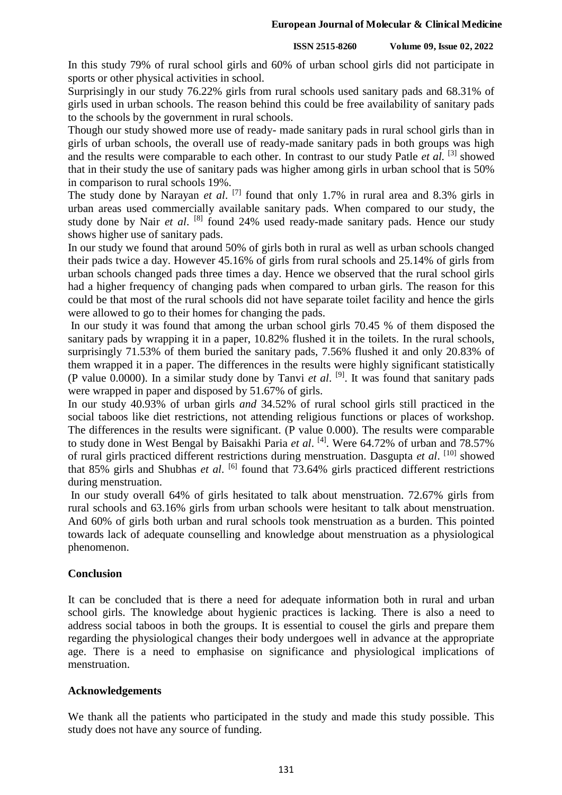In this study 79% of rural school girls and 60% of urban school girls did not participate in sports or other physical activities in school.

Surprisingly in our study 76.22% girls from rural schools used sanitary pads and 68.31% of girls used in urban schools. The reason behind this could be free availability of sanitary pads to the schools by the government in rural schools.

Though our study showed more use of ready- made sanitary pads in rural school girls than in girls of urban schools, the overall use of ready-made sanitary pads in both groups was high and the results were comparable to each other. In contrast to our study Patle *et al.* <sup>[3]</sup> showed that in their study the use of sanitary pads was higher among girls in urban school that is 50% in comparison to rural schools 19%.

The study done by Narayan *et al.* <sup>[7]</sup> found that only 1.7% in rural area and 8.3% girls in urban areas used commercially available sanitary pads. When compared to our study, the study done by Nair et al. <sup>[8]</sup> found 24% used ready-made sanitary pads. Hence our study shows higher use of sanitary pads.

In our study we found that around 50% of girls both in rural as well as urban schools changed their pads twice a day. However 45.16% of girls from rural schools and 25.14% of girls from urban schools changed pads three times a day. Hence we observed that the rural school girls had a higher frequency of changing pads when compared to urban girls. The reason for this could be that most of the rural schools did not have separate toilet facility and hence the girls were allowed to go to their homes for changing the pads.

In our study it was found that among the urban school girls 70.45 % of them disposed the sanitary pads by wrapping it in a paper, 10.82% flushed it in the toilets. In the rural schools, surprisingly 71.53% of them buried the sanitary pads, 7.56% flushed it and only 20.83% of them wrapped it in a paper. The differences in the results were highly significant statistically (P value 0.0000). In a similar study done by Tanvi *et al*. [9] . It was found that sanitary pads were wrapped in paper and disposed by 51.67% of girls.

In our study 40.93% of urban girls *and* 34.52% of rural school girls still practiced in the social taboos like diet restrictions, not attending religious functions or places of workshop. The differences in the results were significant. (P value 0.000). The results were comparable to study done in West Bengal by Baisakhi Paria *et al*. [4] . Were 64.72% of urban and 78.57% of rural girls practiced different restrictions during menstruation. Dasgupta et al. [10] showed that 85% girls and Shubhas *et al*. [6] found that 73.64% girls practiced different restrictions during menstruation.

In our study overall 64% of girls hesitated to talk about menstruation. 72.67% girls from rural schools and 63.16% girls from urban schools were hesitant to talk about menstruation. And 60% of girls both urban and rural schools took menstruation as a burden. This pointed towards lack of adequate counselling and knowledge about menstruation as a physiological phenomenon.

## **Conclusion**

It can be concluded that is there a need for adequate information both in rural and urban school girls. The knowledge about hygienic practices is lacking. There is also a need to address social taboos in both the groups. It is essential to cousel the girls and prepare them regarding the physiological changes their body undergoes well in advance at the appropriate age. There is a need to emphasise on significance and physiological implications of menstruation.

## **Acknowledgements**

We thank all the patients who participated in the study and made this study possible. This study does not have any source of funding.